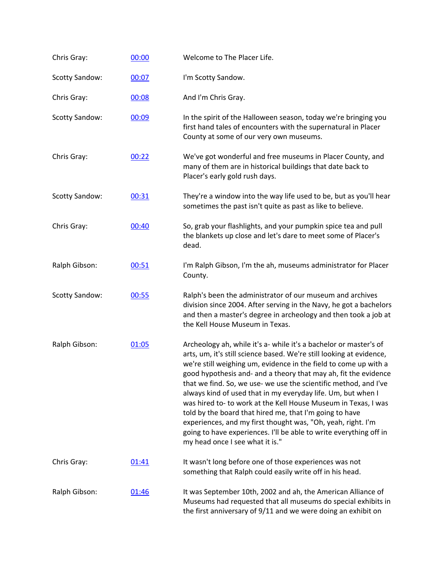| Chris Gray:           | 00:00 | Welcome to The Placer Life.                                                                                                                                                                                                                                                                                                                                                                                                                                                                                                                                                                                                                                                                                               |
|-----------------------|-------|---------------------------------------------------------------------------------------------------------------------------------------------------------------------------------------------------------------------------------------------------------------------------------------------------------------------------------------------------------------------------------------------------------------------------------------------------------------------------------------------------------------------------------------------------------------------------------------------------------------------------------------------------------------------------------------------------------------------------|
| <b>Scotty Sandow:</b> | 00:07 | I'm Scotty Sandow.                                                                                                                                                                                                                                                                                                                                                                                                                                                                                                                                                                                                                                                                                                        |
| Chris Gray:           | 00:08 | And I'm Chris Gray.                                                                                                                                                                                                                                                                                                                                                                                                                                                                                                                                                                                                                                                                                                       |
| <b>Scotty Sandow:</b> | 00:09 | In the spirit of the Halloween season, today we're bringing you<br>first hand tales of encounters with the supernatural in Placer<br>County at some of our very own museums.                                                                                                                                                                                                                                                                                                                                                                                                                                                                                                                                              |
| Chris Gray:           | 00:22 | We've got wonderful and free museums in Placer County, and<br>many of them are in historical buildings that date back to<br>Placer's early gold rush days.                                                                                                                                                                                                                                                                                                                                                                                                                                                                                                                                                                |
| <b>Scotty Sandow:</b> | 00:31 | They're a window into the way life used to be, but as you'll hear<br>sometimes the past isn't quite as past as like to believe.                                                                                                                                                                                                                                                                                                                                                                                                                                                                                                                                                                                           |
| Chris Gray:           | 00:40 | So, grab your flashlights, and your pumpkin spice tea and pull<br>the blankets up close and let's dare to meet some of Placer's<br>dead.                                                                                                                                                                                                                                                                                                                                                                                                                                                                                                                                                                                  |
| Ralph Gibson:         | 00:51 | I'm Ralph Gibson, I'm the ah, museums administrator for Placer<br>County.                                                                                                                                                                                                                                                                                                                                                                                                                                                                                                                                                                                                                                                 |
| <b>Scotty Sandow:</b> | 00:55 | Ralph's been the administrator of our museum and archives<br>division since 2004. After serving in the Navy, he got a bachelors<br>and then a master's degree in archeology and then took a job at<br>the Kell House Museum in Texas.                                                                                                                                                                                                                                                                                                                                                                                                                                                                                     |
| Ralph Gibson:         | 01:05 | Archeology ah, while it's a- while it's a bachelor or master's of<br>arts, um, it's still science based. We're still looking at evidence,<br>we're still weighing um, evidence in the field to come up with a<br>good hypothesis and- and a theory that may ah, fit the evidence<br>that we find. So, we use- we use the scientific method, and I've<br>always kind of used that in my everyday life. Um, but when I<br>was hired to-to work at the Kell House Museum in Texas, I was<br>told by the board that hired me, that I'm going to have<br>experiences, and my first thought was, "Oh, yeah, right. I'm<br>going to have experiences. I'll be able to write everything off in<br>my head once I see what it is." |
| Chris Gray:           | 01:41 | It wasn't long before one of those experiences was not<br>something that Ralph could easily write off in his head.                                                                                                                                                                                                                                                                                                                                                                                                                                                                                                                                                                                                        |
| Ralph Gibson:         | 01:46 | It was September 10th, 2002 and ah, the American Alliance of<br>Museums had requested that all museums do special exhibits in<br>the first anniversary of 9/11 and we were doing an exhibit on                                                                                                                                                                                                                                                                                                                                                                                                                                                                                                                            |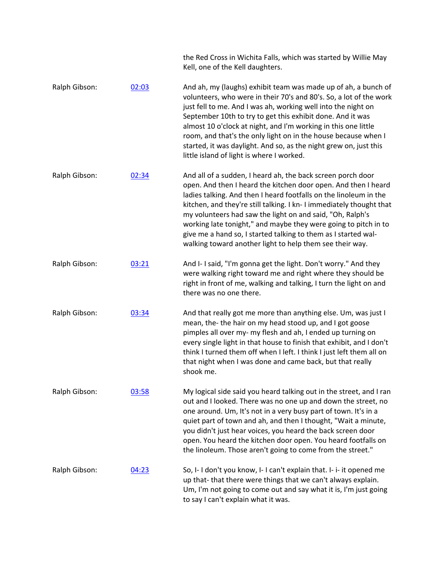the Red Cross in Wichita Falls, which was started by Willie May Kell, one of the Kell daughters.

- Ralph Gibson: [02:03](https://www.rev.com/transcript-editor/Edit?token=fmDcICbMIjp5wOgXyrEHESUoqZ-76zL_7V_03n-QVGBudm6vdcJ7gIIa9ap-XeAba2UAe4XdpMf76oHGvWJ4QfYc3FM&loadFrom=DocumentDeeplink&ts=123.42) And ah, my (laughs) exhibit team was made up of ah, a bunch of volunteers, who were in their 70's and 80's. So, a lot of the work just fell to me. And I was ah, working well into the night on September 10th to try to get this exhibit done. And it was almost 10 o'clock at night, and I'm working in this one little room, and that's the only light on in the house because when I started, it was daylight. And so, as the night grew on, just this little island of light is where I worked.
- Ralph Gibson: [02:34](https://www.rev.com/transcript-editor/Edit?token=5p7lxNwlH9Qz6w3tXqeYNyFzdGYo52Ms4w1I_kOzkjbRCmgCBDpvt8ZKcDRQwG8cp7ahw0rkpbEsD1O-EpXLBWqzai4&loadFrom=DocumentDeeplink&ts=154) And all of a sudden, I heard ah, the back screen porch door open. And then I heard the kitchen door open. And then I heard ladies talking. And then I heard footfalls on the linoleum in the kitchen, and they're still talking. I kn- I immediately thought that my volunteers had saw the light on and said, "Oh, Ralph's working late tonight," and maybe they were going to pitch in to give me a hand so, I started talking to them as I started walwalking toward another light to help them see their way.
- Ralph Gibson: [03:21](https://www.rev.com/transcript-editor/Edit?token=5jyL7hxAPM7Feco1cOm0Y-98j8i8VU9-fkduMWMUKTVJSn7rwb27Irg1u0Me06qg2ZAwZ_AUcW0fC3vFlSvMkWdGocs&loadFrom=DocumentDeeplink&ts=201.08) And I- I said, "I'm gonna get the light. Don't worry." And they were walking right toward me and right where they should be right in front of me, walking and talking, I turn the light on and there was no one there.
- Ralph Gibson:  $03:34$  And that really got me more than anything else. Um, was just I mean, the- the hair on my head stood up, and I got goose pimples all over my- my flesh and ah, I ended up turning on every single light in that house to finish that exhibit, and I don't think I turned them off when I left. I think I just left them all on that night when I was done and came back, but that really shook me.
- Ralph Gibson: [03:58](https://www.rev.com/transcript-editor/Edit?token=PQx-XjbwLVSE4EERQOZopI-zgcfoDkeCiAU1YgsQQ_RsmPXfPBsIEVX2j0N9zeL2G4_2_dl8YmQsgvuTxVLZU8rFuNQ&loadFrom=DocumentDeeplink&ts=238.15) My logical side said you heard talking out in the street, and I ran out and I looked. There was no one up and down the street, no one around. Um, It's not in a very busy part of town. It's in a quiet part of town and ah, and then I thought, "Wait a minute, you didn't just hear voices, you heard the back screen door open. You heard the kitchen door open. You heard footfalls on the linoleum. Those aren't going to come from the street."
- Ralph Gibson: [04:23](https://www.rev.com/transcript-editor/Edit?token=HAC6mkXIwZqBR5MlsKEmRPxZrVt08A1yvKyQA5HeWA7EEnH1k190ybwMc1VVGdKxIz72nRj4Jn675pe0ZU_jWOU7hVQ&loadFrom=DocumentDeeplink&ts=263.36) So, I- I don't you know, I- I can't explain that. I- i- it opened me up that- that there were things that we can't always explain. Um, I'm not going to come out and say what it is, I'm just going to say I can't explain what it was.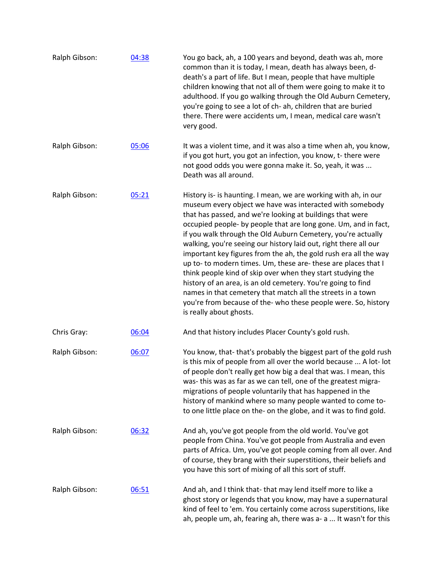| Ralph Gibson: | 04:38 | You go back, ah, a 100 years and beyond, death was ah, more<br>common than it is today, I mean, death has always been, d-<br>death's a part of life. But I mean, people that have multiple<br>children knowing that not all of them were going to make it to<br>adulthood. If you go walking through the Old Auburn Cemetery,<br>you're going to see a lot of ch- ah, children that are buried<br>there. There were accidents um, I mean, medical care wasn't<br>very good.                                                                                                                                                                                                                                                                                                                                                      |
|---------------|-------|----------------------------------------------------------------------------------------------------------------------------------------------------------------------------------------------------------------------------------------------------------------------------------------------------------------------------------------------------------------------------------------------------------------------------------------------------------------------------------------------------------------------------------------------------------------------------------------------------------------------------------------------------------------------------------------------------------------------------------------------------------------------------------------------------------------------------------|
| Ralph Gibson: | 05:06 | It was a violent time, and it was also a time when ah, you know,<br>if you got hurt, you got an infection, you know, t- there were<br>not good odds you were gonna make it. So, yeah, it was<br>Death was all around.                                                                                                                                                                                                                                                                                                                                                                                                                                                                                                                                                                                                            |
| Ralph Gibson: | 05:21 | History is- is haunting. I mean, we are working with ah, in our<br>museum every object we have was interacted with somebody<br>that has passed, and we're looking at buildings that were<br>occupied people- by people that are long gone. Um, and in fact,<br>if you walk through the Old Auburn Cemetery, you're actually<br>walking, you're seeing our history laid out, right there all our<br>important key figures from the ah, the gold rush era all the way<br>up to- to modern times. Um, these are- these are places that I<br>think people kind of skip over when they start studying the<br>history of an area, is an old cemetery. You're going to find<br>names in that cemetery that match all the streets in a town<br>you're from because of the- who these people were. So, history<br>is really about ghosts. |
| Chris Gray:   | 06:04 | And that history includes Placer County's gold rush.                                                                                                                                                                                                                                                                                                                                                                                                                                                                                                                                                                                                                                                                                                                                                                             |
| Ralph Gibson: | 06:07 | You know, that-that's probably the biggest part of the gold rush<br>is this mix of people from all over the world because  A lot- lot<br>of people don't really get how big a deal that was. I mean, this<br>was- this was as far as we can tell, one of the greatest migra-<br>migrations of people voluntarily that has happened in the<br>history of mankind where so many people wanted to come to-<br>to one little place on the- on the globe, and it was to find gold.                                                                                                                                                                                                                                                                                                                                                    |
| Ralph Gibson: | 06:32 | And ah, you've got people from the old world. You've got<br>people from China. You've got people from Australia and even<br>parts of Africa. Um, you've got people coming from all over. And<br>of course, they brang with their superstitions, their beliefs and<br>you have this sort of mixing of all this sort of stuff.                                                                                                                                                                                                                                                                                                                                                                                                                                                                                                     |
| Ralph Gibson: | 06:51 | And ah, and I think that-that may lend itself more to like a<br>ghost story or legends that you know, may have a supernatural<br>kind of feel to 'em. You certainly come across superstitions, like<br>ah, people um, ah, fearing ah, there was a- a  It wasn't for this                                                                                                                                                                                                                                                                                                                                                                                                                                                                                                                                                         |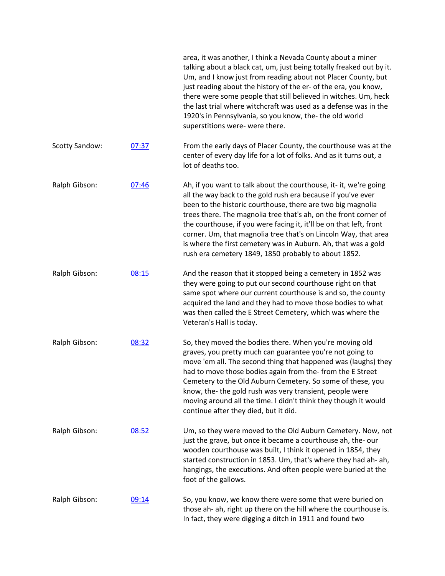|                       |       | area, it was another, I think a Nevada County about a miner<br>talking about a black cat, um, just being totally freaked out by it.<br>Um, and I know just from reading about not Placer County, but<br>just reading about the history of the er- of the era, you know,<br>there were some people that still believed in witches. Um, heck<br>the last trial where witchcraft was used as a defense was in the<br>1920's in Pennsylvania, so you know, the- the old world<br>superstitions were- were there.                             |
|-----------------------|-------|------------------------------------------------------------------------------------------------------------------------------------------------------------------------------------------------------------------------------------------------------------------------------------------------------------------------------------------------------------------------------------------------------------------------------------------------------------------------------------------------------------------------------------------|
| <b>Scotty Sandow:</b> | 07:37 | From the early days of Placer County, the courthouse was at the<br>center of every day life for a lot of folks. And as it turns out, a<br>lot of deaths too.                                                                                                                                                                                                                                                                                                                                                                             |
| Ralph Gibson:         | 07:46 | Ah, if you want to talk about the courthouse, it- it, we're going<br>all the way back to the gold rush era because if you've ever<br>been to the historic courthouse, there are two big magnolia<br>trees there. The magnolia tree that's ah, on the front corner of<br>the courthouse, if you were facing it, it'll be on that left, front<br>corner. Um, that magnolia tree that's on Lincoln Way, that area<br>is where the first cemetery was in Auburn. Ah, that was a gold<br>rush era cemetery 1849, 1850 probably to about 1852. |
| Ralph Gibson:         | 08:15 | And the reason that it stopped being a cemetery in 1852 was<br>they were going to put our second courthouse right on that<br>same spot where our current courthouse is and so, the county<br>acquired the land and they had to move those bodies to what<br>was then called the E Street Cemetery, which was where the<br>Veteran's Hall is today.                                                                                                                                                                                       |
| Ralph Gibson:         | 08:32 | So, they moved the bodies there. When you're moving old<br>graves, you pretty much can guarantee you're not going to<br>move 'em all. The second thing that happened was (laughs) they<br>had to move those bodies again from the-from the E Street<br>Cemetery to the Old Auburn Cemetery. So some of these, you<br>know, the-the gold rush was very transient, people were<br>moving around all the time. I didn't think they though it would<br>continue after they died, but it did.                                                 |
| Ralph Gibson:         | 08:52 | Um, so they were moved to the Old Auburn Cemetery. Now, not<br>just the grave, but once it became a courthouse ah, the-our<br>wooden courthouse was built, I think it opened in 1854, they<br>started construction in 1853. Um, that's where they had ah- ah,<br>hangings, the executions. And often people were buried at the<br>foot of the gallows.                                                                                                                                                                                   |
| Ralph Gibson:         | 09:14 | So, you know, we know there were some that were buried on<br>those ah- ah, right up there on the hill where the courthouse is.<br>In fact, they were digging a ditch in 1911 and found two                                                                                                                                                                                                                                                                                                                                               |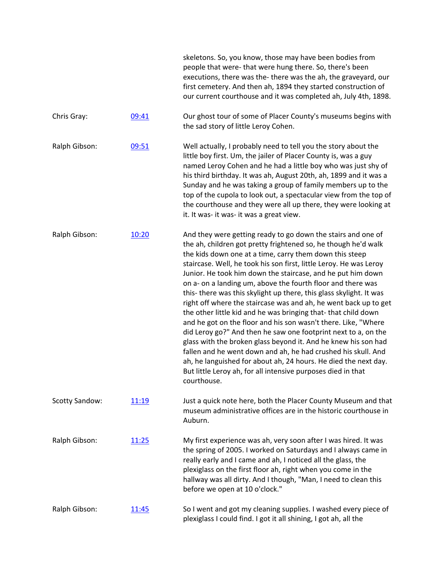|                       |       | skeletons. So, you know, those may have been bodies from<br>people that were-that were hung there. So, there's been<br>executions, there was the-there was the ah, the graveyard, our<br>first cemetery. And then ah, 1894 they started construction of<br>our current courthouse and it was completed ah, July 4th, 1898.                                                                                                                                                                                                                                                                                                                                                                                                                                                                                                                                                                                                                                                                                                        |
|-----------------------|-------|-----------------------------------------------------------------------------------------------------------------------------------------------------------------------------------------------------------------------------------------------------------------------------------------------------------------------------------------------------------------------------------------------------------------------------------------------------------------------------------------------------------------------------------------------------------------------------------------------------------------------------------------------------------------------------------------------------------------------------------------------------------------------------------------------------------------------------------------------------------------------------------------------------------------------------------------------------------------------------------------------------------------------------------|
| Chris Gray:           | 09:41 | Our ghost tour of some of Placer County's museums begins with<br>the sad story of little Leroy Cohen.                                                                                                                                                                                                                                                                                                                                                                                                                                                                                                                                                                                                                                                                                                                                                                                                                                                                                                                             |
| Ralph Gibson:         | 09:51 | Well actually, I probably need to tell you the story about the<br>little boy first. Um, the jailer of Placer County is, was a guy<br>named Leroy Cohen and he had a little boy who was just shy of<br>his third birthday. It was ah, August 20th, ah, 1899 and it was a<br>Sunday and he was taking a group of family members up to the<br>top of the cupola to look out, a spectacular view from the top of<br>the courthouse and they were all up there, they were looking at<br>it. It was- it was- it was a great view.                                                                                                                                                                                                                                                                                                                                                                                                                                                                                                       |
| Ralph Gibson:         | 10:20 | And they were getting ready to go down the stairs and one of<br>the ah, children got pretty frightened so, he though he'd walk<br>the kids down one at a time, carry them down this steep<br>staircase. Well, he took his son first, little Leroy. He was Leroy<br>Junior. He took him down the staircase, and he put him down<br>on a- on a landing um, above the fourth floor and there was<br>this-there was this skylight up there, this glass skylight. It was<br>right off where the staircase was and ah, he went back up to get<br>the other little kid and he was bringing that-that child down<br>and he got on the floor and his son wasn't there. Like, "Where<br>did Leroy go?" And then he saw one footprint next to a, on the<br>glass with the broken glass beyond it. And he knew his son had<br>fallen and he went down and ah, he had crushed his skull. And<br>ah, he languished for about ah, 24 hours. He died the next day.<br>But little Leroy ah, for all intensive purposes died in that<br>courthouse. |
| <b>Scotty Sandow:</b> | 11:19 | Just a quick note here, both the Placer County Museum and that<br>museum administrative offices are in the historic courthouse in<br>Auburn.                                                                                                                                                                                                                                                                                                                                                                                                                                                                                                                                                                                                                                                                                                                                                                                                                                                                                      |
| Ralph Gibson:         | 11:25 | My first experience was ah, very soon after I was hired. It was<br>the spring of 2005. I worked on Saturdays and I always came in<br>really early and I came and ah, I noticed all the glass, the<br>plexiglass on the first floor ah, right when you come in the<br>hallway was all dirty. And I though, "Man, I need to clean this<br>before we open at 10 o'clock."                                                                                                                                                                                                                                                                                                                                                                                                                                                                                                                                                                                                                                                            |
| Ralph Gibson:         | 11:45 | So I went and got my cleaning supplies. I washed every piece of<br>plexiglass I could find. I got it all shining, I got ah, all the                                                                                                                                                                                                                                                                                                                                                                                                                                                                                                                                                                                                                                                                                                                                                                                                                                                                                               |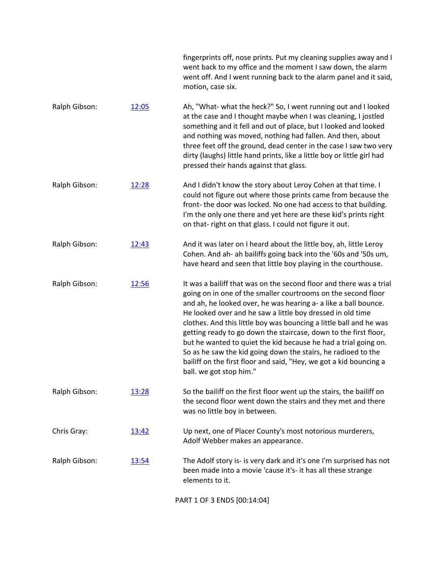|               |              | fingerprints off, nose prints. Put my cleaning supplies away and I<br>went back to my office and the moment I saw down, the alarm<br>went off. And I went running back to the alarm panel and it said,<br>motion, case six.                                                                                                                                                                                                                                                                                                                                                                                                                          |
|---------------|--------------|------------------------------------------------------------------------------------------------------------------------------------------------------------------------------------------------------------------------------------------------------------------------------------------------------------------------------------------------------------------------------------------------------------------------------------------------------------------------------------------------------------------------------------------------------------------------------------------------------------------------------------------------------|
| Ralph Gibson: | 12:05        | Ah, "What- what the heck?" So, I went running out and I looked<br>at the case and I thought maybe when I was cleaning, I jostled<br>something and it fell and out of place, but I looked and looked<br>and nothing was moved, nothing had fallen. And then, about<br>three feet off the ground, dead center in the case I saw two very<br>dirty (laughs) little hand prints, like a little boy or little girl had<br>pressed their hands against that glass.                                                                                                                                                                                         |
| Ralph Gibson: | 12:28        | And I didn't know the story about Leroy Cohen at that time. I<br>could not figure out where those prints came from because the<br>front-the door was locked. No one had access to that building.<br>I'm the only one there and yet here are these kid's prints right<br>on that-right on that glass. I could not figure it out.                                                                                                                                                                                                                                                                                                                      |
| Ralph Gibson: | 12:43        | And it was later on I heard about the little boy, ah, little Leroy<br>Cohen. And ah- ah bailiffs going back into the '60s and '50s um,<br>have heard and seen that little boy playing in the courthouse.                                                                                                                                                                                                                                                                                                                                                                                                                                             |
| Ralph Gibson: | 12:56        | It was a bailiff that was on the second floor and there was a trial<br>going on in one of the smaller courtrooms on the second floor<br>and ah, he looked over, he was hearing a- a like a ball bounce.<br>He looked over and he saw a little boy dressed in old time<br>clothes. And this little boy was bouncing a little ball and he was<br>getting ready to go down the staircase, down to the first floor,<br>but he wanted to quiet the kid because he had a trial going on.<br>So as he saw the kid going down the stairs, he radioed to the<br>bailiff on the first floor and said, "Hey, we got a kid bouncing a<br>ball. we got stop him." |
| Ralph Gibson: | 13:28        | So the bailiff on the first floor went up the stairs, the bailiff on<br>the second floor went down the stairs and they met and there<br>was no little boy in between.                                                                                                                                                                                                                                                                                                                                                                                                                                                                                |
| Chris Gray:   | 13:42        | Up next, one of Placer County's most notorious murderers,<br>Adolf Webber makes an appearance.                                                                                                                                                                                                                                                                                                                                                                                                                                                                                                                                                       |
| Ralph Gibson: | <u>13:54</u> | The Adolf story is- is very dark and it's one I'm surprised has not<br>been made into a movie 'cause it's- it has all these strange<br>elements to it.                                                                                                                                                                                                                                                                                                                                                                                                                                                                                               |
|               |              | PART 1 OF 3 ENDS [00:14:04]                                                                                                                                                                                                                                                                                                                                                                                                                                                                                                                                                                                                                          |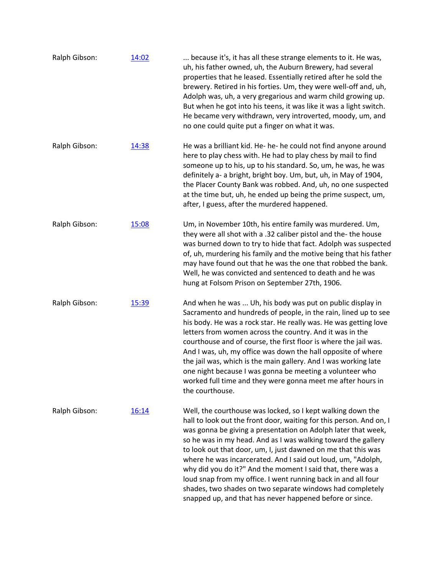| Ralph Gibson: | 14:02 | because it's, it has all these strange elements to it. He was,<br>uh, his father owned, uh, the Auburn Brewery, had several<br>properties that he leased. Essentially retired after he sold the<br>brewery. Retired in his forties. Um, they were well-off and, uh,<br>Adolph was, uh, a very gregarious and warm child growing up.<br>But when he got into his teens, it was like it was a light switch.<br>He became very withdrawn, very introverted, moody, um, and<br>no one could quite put a finger on what it was.                                                                                                                                     |
|---------------|-------|----------------------------------------------------------------------------------------------------------------------------------------------------------------------------------------------------------------------------------------------------------------------------------------------------------------------------------------------------------------------------------------------------------------------------------------------------------------------------------------------------------------------------------------------------------------------------------------------------------------------------------------------------------------|
| Ralph Gibson: | 14:38 | He was a brilliant kid. He- he- he could not find anyone around<br>here to play chess with. He had to play chess by mail to find<br>someone up to his, up to his standard. So, um, he was, he was<br>definitely a- a bright, bright boy. Um, but, uh, in May of 1904,<br>the Placer County Bank was robbed. And, uh, no one suspected<br>at the time but, uh, he ended up being the prime suspect, um,<br>after, I guess, after the murdered happened.                                                                                                                                                                                                         |
| Ralph Gibson: | 15:08 | Um, in November 10th, his entire family was murdered. Um,<br>they were all shot with a .32 caliber pistol and the- the house<br>was burned down to try to hide that fact. Adolph was suspected<br>of, uh, murdering his family and the motive being that his father<br>may have found out that he was the one that robbed the bank.<br>Well, he was convicted and sentenced to death and he was<br>hung at Folsom Prison on September 27th, 1906.                                                                                                                                                                                                              |
| Ralph Gibson: | 15:39 | And when he was  Uh, his body was put on public display in<br>Sacramento and hundreds of people, in the rain, lined up to see<br>his body. He was a rock star. He really was. He was getting love<br>letters from women across the country. And it was in the<br>courthouse and of course, the first floor is where the jail was.<br>And I was, uh, my office was down the hall opposite of where<br>the jail was, which is the main gallery. And I was working late<br>one night because I was gonna be meeting a volunteer who<br>worked full time and they were gonna meet me after hours in<br>the courthouse.                                             |
| Ralph Gibson: | 16:14 | Well, the courthouse was locked, so I kept walking down the<br>hall to look out the front door, waiting for this person. And on, I<br>was gonna be giving a presentation on Adolph later that week,<br>so he was in my head. And as I was walking toward the gallery<br>to look out that door, um, I, just dawned on me that this was<br>where he was incarcerated. And I said out loud, um, "Adolph,<br>why did you do it?" And the moment I said that, there was a<br>loud snap from my office. I went running back in and all four<br>shades, two shades on two separate windows had completely<br>snapped up, and that has never happened before or since. |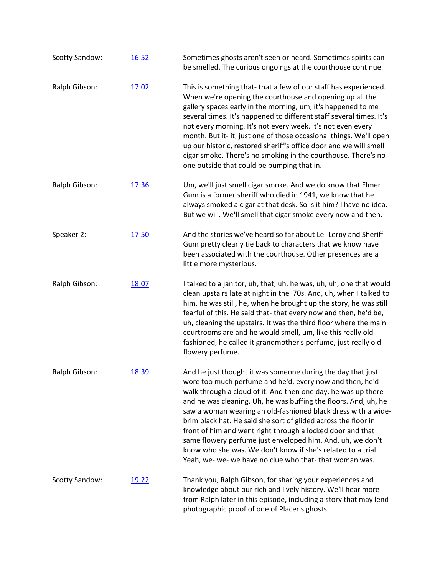| <b>Scotty Sandow:</b> | 16:52 | Sometimes ghosts aren't seen or heard. Sometimes spirits can<br>be smelled. The curious ongoings at the courthouse continue.                                                                                                                                                                                                                                                                                                                                                                                                                                                                                                                          |
|-----------------------|-------|-------------------------------------------------------------------------------------------------------------------------------------------------------------------------------------------------------------------------------------------------------------------------------------------------------------------------------------------------------------------------------------------------------------------------------------------------------------------------------------------------------------------------------------------------------------------------------------------------------------------------------------------------------|
| Ralph Gibson:         | 17:02 | This is something that-that a few of our staff has experienced.<br>When we're opening the courthouse and opening up all the<br>gallery spaces early in the morning, um, it's happened to me<br>several times. It's happened to different staff several times. It's<br>not every morning. It's not every week. It's not even every<br>month. But it- it, just one of those occasional things. We'll open<br>up our historic, restored sheriff's office door and we will smell<br>cigar smoke. There's no smoking in the courthouse. There's no<br>one outside that could be pumping that in.                                                           |
| Ralph Gibson:         | 17:36 | Um, we'll just smell cigar smoke. And we do know that Elmer<br>Gum is a former sheriff who died in 1941, we know that he<br>always smoked a cigar at that desk. So is it him? I have no idea.<br>But we will. We'll smell that cigar smoke every now and then.                                                                                                                                                                                                                                                                                                                                                                                        |
| Speaker 2:            | 17:50 | And the stories we've heard so far about Le- Leroy and Sheriff<br>Gum pretty clearly tie back to characters that we know have<br>been associated with the courthouse. Other presences are a<br>little more mysterious.                                                                                                                                                                                                                                                                                                                                                                                                                                |
| Ralph Gibson:         | 18:07 | I talked to a janitor, uh, that, uh, he was, uh, uh, one that would<br>clean upstairs late at night in the '70s. And, uh, when I talked to<br>him, he was still, he, when he brought up the story, he was still<br>fearful of this. He said that- that every now and then, he'd be,<br>uh, cleaning the upstairs. It was the third floor where the main<br>courtrooms are and he would smell, um, like this really old-<br>fashioned, he called it grandmother's perfume, just really old<br>flowery perfume.                                                                                                                                         |
| Ralph Gibson:         | 18:39 | And he just thought it was someone during the day that just<br>wore too much perfume and he'd, every now and then, he'd<br>walk through a cloud of it. And then one day, he was up there<br>and he was cleaning. Uh, he was buffing the floors. And, uh, he<br>saw a woman wearing an old-fashioned black dress with a wide-<br>brim black hat. He said she sort of glided across the floor in<br>front of him and went right through a locked door and that<br>same flowery perfume just enveloped him. And, uh, we don't<br>know who she was. We don't know if she's related to a trial.<br>Yeah, we- we- we have no clue who that- that woman was. |
| <b>Scotty Sandow:</b> | 19:22 | Thank you, Ralph Gibson, for sharing your experiences and<br>knowledge about our rich and lively history. We'll hear more<br>from Ralph later in this episode, including a story that may lend<br>photographic proof of one of Placer's ghosts.                                                                                                                                                                                                                                                                                                                                                                                                       |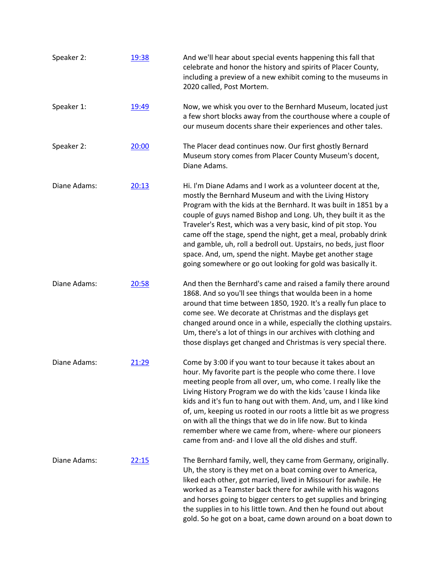| Speaker 2:   | 19:38 | And we'll hear about special events happening this fall that<br>celebrate and honor the history and spirits of Placer County,<br>including a preview of a new exhibit coming to the museums in<br>2020 called, Post Mortem.                                                                                                                                                                                                                                                                                                                                                                        |
|--------------|-------|----------------------------------------------------------------------------------------------------------------------------------------------------------------------------------------------------------------------------------------------------------------------------------------------------------------------------------------------------------------------------------------------------------------------------------------------------------------------------------------------------------------------------------------------------------------------------------------------------|
| Speaker 1:   | 19:49 | Now, we whisk you over to the Bernhard Museum, located just<br>a few short blocks away from the courthouse where a couple of<br>our museum docents share their experiences and other tales.                                                                                                                                                                                                                                                                                                                                                                                                        |
| Speaker 2:   | 20:00 | The Placer dead continues now. Our first ghostly Bernard<br>Museum story comes from Placer County Museum's docent,<br>Diane Adams.                                                                                                                                                                                                                                                                                                                                                                                                                                                                 |
| Diane Adams: | 20:13 | Hi. I'm Diane Adams and I work as a volunteer docent at the,<br>mostly the Bernhard Museum and with the Living History<br>Program with the kids at the Bernhard. It was built in 1851 by a<br>couple of guys named Bishop and Long. Uh, they built it as the<br>Traveler's Rest, which was a very basic, kind of pit stop. You<br>came off the stage, spend the night, get a meal, probably drink<br>and gamble, uh, roll a bedroll out. Upstairs, no beds, just floor<br>space. And, um, spend the night. Maybe get another stage<br>going somewhere or go out looking for gold was basically it. |
| Diane Adams: | 20:58 | And then the Bernhard's came and raised a family there around<br>1868. And so you'll see things that woulda been in a home<br>around that time between 1850, 1920. It's a really fun place to<br>come see. We decorate at Christmas and the displays get<br>changed around once in a while, especially the clothing upstairs.<br>Um, there's a lot of things in our archives with clothing and<br>those displays get changed and Christmas is very special there.                                                                                                                                  |
| Diane Adams: | 21:29 | Come by 3:00 if you want to tour because it takes about an<br>hour. My favorite part is the people who come there. I love<br>meeting people from all over, um, who come. I really like the<br>Living History Program we do with the kids 'cause I kinda like<br>kids and it's fun to hang out with them. And, um, and I like kind<br>of, um, keeping us rooted in our roots a little bit as we progress<br>on with all the things that we do in life now. But to kinda<br>remember where we came from, where- where our pioneers<br>came from and- and I love all the old dishes and stuff.        |
| Diane Adams: | 22:15 | The Bernhard family, well, they came from Germany, originally.<br>Uh, the story is they met on a boat coming over to America,<br>liked each other, got married, lived in Missouri for awhile. He<br>worked as a Teamster back there for awhile with his wagons<br>and horses going to bigger centers to get supplies and bringing<br>the supplies in to his little town. And then he found out about<br>gold. So he got on a boat, came down around on a boat down to                                                                                                                              |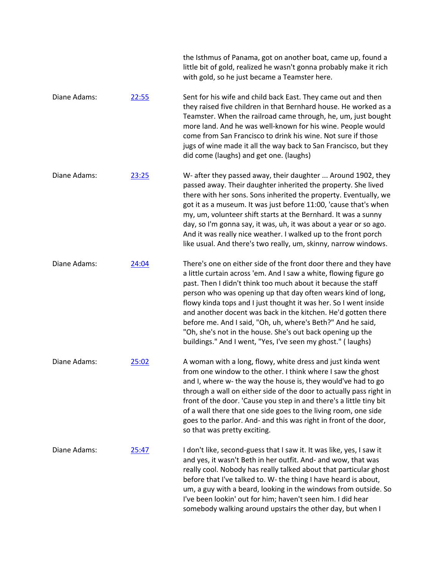|              |       | the Isthmus of Panama, got on another boat, came up, found a<br>little bit of gold, realized he wasn't gonna probably make it rich<br>with gold, so he just became a Teamster here.                                                                                                                                                                                                                                                                                                                                                                                                                     |
|--------------|-------|---------------------------------------------------------------------------------------------------------------------------------------------------------------------------------------------------------------------------------------------------------------------------------------------------------------------------------------------------------------------------------------------------------------------------------------------------------------------------------------------------------------------------------------------------------------------------------------------------------|
| Diane Adams: | 22:55 | Sent for his wife and child back East. They came out and then<br>they raised five children in that Bernhard house. He worked as a<br>Teamster. When the railroad came through, he, um, just bought<br>more land. And he was well-known for his wine. People would<br>come from San Francisco to drink his wine. Not sure if those<br>jugs of wine made it all the way back to San Francisco, but they<br>did come (laughs) and get one. (laughs)                                                                                                                                                        |
| Diane Adams: | 23:25 | W- after they passed away, their daughter  Around 1902, they<br>passed away. Their daughter inherited the property. She lived<br>there with her sons. Sons inherited the property. Eventually, we<br>got it as a museum. It was just before 11:00, 'cause that's when<br>my, um, volunteer shift starts at the Bernhard. It was a sunny<br>day, so I'm gonna say, it was, uh, it was about a year or so ago.<br>And it was really nice weather. I walked up to the front porch<br>like usual. And there's two really, um, skinny, narrow windows.                                                       |
| Diane Adams: | 24:04 | There's one on either side of the front door there and they have<br>a little curtain across 'em. And I saw a white, flowing figure go<br>past. Then I didn't think too much about it because the staff<br>person who was opening up that day often wears kind of long,<br>flowy kinda tops and I just thought it was her. So I went inside<br>and another docent was back in the kitchen. He'd gotten there<br>before me. And I said, "Oh, uh, where's Beth?" And he said,<br>"Oh, she's not in the house. She's out back opening up the<br>buildings." And I went, "Yes, I've seen my ghost." (laughs) |
| Diane Adams: | 25:02 | A woman with a long, flowy, white dress and just kinda went<br>from one window to the other. I think where I saw the ghost<br>and I, where w- the way the house is, they would've had to go<br>through a wall on either side of the door to actually pass right in<br>front of the door. 'Cause you step in and there's a little tiny bit<br>of a wall there that one side goes to the living room, one side<br>goes to the parlor. And- and this was right in front of the door,<br>so that was pretty exciting.                                                                                       |
| Diane Adams: | 25:47 | I don't like, second-guess that I saw it. It was like, yes, I saw it<br>and yes, it wasn't Beth in her outfit. And- and wow, that was<br>really cool. Nobody has really talked about that particular ghost<br>before that I've talked to. W- the thing I have heard is about,<br>um, a guy with a beard, looking in the windows from outside. So<br>I've been lookin' out for him; haven't seen him. I did hear<br>somebody walking around upstairs the other day, but when I                                                                                                                           |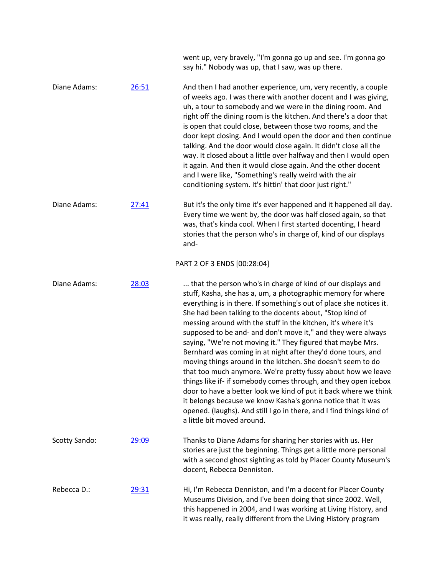|                      |       | went up, very bravely, "I'm gonna go up and see. I'm gonna go<br>say hi." Nobody was up, that I saw, was up there.                                                                                                                                                                                                                                                                                                                                                                                                                                                                                                                                                                                                                                                                                                                                                                                                                                                        |
|----------------------|-------|---------------------------------------------------------------------------------------------------------------------------------------------------------------------------------------------------------------------------------------------------------------------------------------------------------------------------------------------------------------------------------------------------------------------------------------------------------------------------------------------------------------------------------------------------------------------------------------------------------------------------------------------------------------------------------------------------------------------------------------------------------------------------------------------------------------------------------------------------------------------------------------------------------------------------------------------------------------------------|
| Diane Adams:         | 26:51 | And then I had another experience, um, very recently, a couple<br>of weeks ago. I was there with another docent and I was giving,<br>uh, a tour to somebody and we were in the dining room. And<br>right off the dining room is the kitchen. And there's a door that<br>is open that could close, between those two rooms, and the<br>door kept closing. And I would open the door and then continue<br>talking. And the door would close again. It didn't close all the<br>way. It closed about a little over halfway and then I would open<br>it again. And then it would close again. And the other docent<br>and I were like, "Something's really weird with the air<br>conditioning system. It's hittin' that door just right."                                                                                                                                                                                                                                      |
| Diane Adams:         | 27:41 | But it's the only time it's ever happened and it happened all day.<br>Every time we went by, the door was half closed again, so that<br>was, that's kinda cool. When I first started docenting, I heard<br>stories that the person who's in charge of, kind of our displays<br>and-                                                                                                                                                                                                                                                                                                                                                                                                                                                                                                                                                                                                                                                                                       |
|                      |       | PART 2 OF 3 ENDS [00:28:04]                                                                                                                                                                                                                                                                                                                                                                                                                                                                                                                                                                                                                                                                                                                                                                                                                                                                                                                                               |
| Diane Adams:         | 28:03 | that the person who's in charge of kind of our displays and<br>stuff, Kasha, she has a, um, a photographic memory for where<br>everything is in there. If something's out of place she notices it.<br>She had been talking to the docents about, "Stop kind of<br>messing around with the stuff in the kitchen, it's where it's<br>supposed to be and- and don't move it," and they were always<br>saying, "We're not moving it." They figured that maybe Mrs.<br>Bernhard was coming in at night after they'd done tours, and<br>moving things around in the kitchen. She doesn't seem to do<br>that too much anymore. We're pretty fussy about how we leave<br>things like if- if somebody comes through, and they open icebox<br>door to have a better look we kind of put it back where we think<br>it belongs because we know Kasha's gonna notice that it was<br>opened. (laughs). And still I go in there, and I find things kind of<br>a little bit moved around. |
| <b>Scotty Sando:</b> | 29:09 | Thanks to Diane Adams for sharing her stories with us. Her<br>stories are just the beginning. Things get a little more personal<br>with a second ghost sighting as told by Placer County Museum's<br>docent, Rebecca Denniston.                                                                                                                                                                                                                                                                                                                                                                                                                                                                                                                                                                                                                                                                                                                                           |
| Rebecca D.:          | 29:31 | Hi, I'm Rebecca Denniston, and I'm a docent for Placer County<br>Museums Division, and I've been doing that since 2002. Well,<br>this happened in 2004, and I was working at Living History, and<br>it was really, really different from the Living History program                                                                                                                                                                                                                                                                                                                                                                                                                                                                                                                                                                                                                                                                                                       |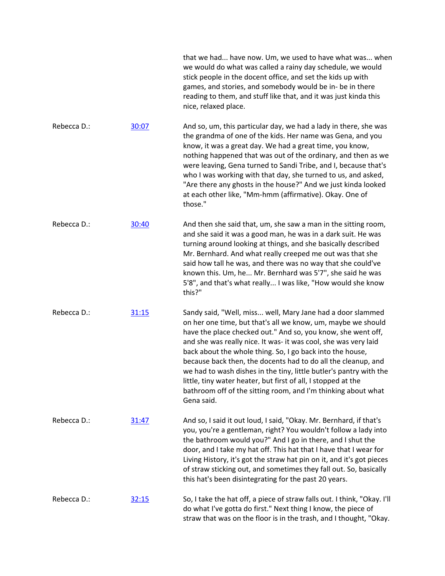|             |       | that we had have now. Um, we used to have what was when<br>we would do what was called a rainy day schedule, we would<br>stick people in the docent office, and set the kids up with<br>games, and stories, and somebody would be in- be in there<br>reading to them, and stuff like that, and it was just kinda this<br>nice, relaxed place.                                                                                                                                                                                                                                                                     |
|-------------|-------|-------------------------------------------------------------------------------------------------------------------------------------------------------------------------------------------------------------------------------------------------------------------------------------------------------------------------------------------------------------------------------------------------------------------------------------------------------------------------------------------------------------------------------------------------------------------------------------------------------------------|
| Rebecca D.: | 30:07 | And so, um, this particular day, we had a lady in there, she was<br>the grandma of one of the kids. Her name was Gena, and you<br>know, it was a great day. We had a great time, you know,<br>nothing happened that was out of the ordinary, and then as we<br>were leaving, Gena turned to Sandi Tribe, and I, because that's<br>who I was working with that day, she turned to us, and asked,<br>"Are there any ghosts in the house?" And we just kinda looked<br>at each other like, "Mm-hmm (affirmative). Okay. One of<br>those."                                                                            |
| Rebecca D.: | 30:40 | And then she said that, um, she saw a man in the sitting room,<br>and she said it was a good man, he was in a dark suit. He was<br>turning around looking at things, and she basically described<br>Mr. Bernhard. And what really creeped me out was that she<br>said how tall he was, and there was no way that she could've<br>known this. Um, he Mr. Bernhard was 5'7", she said he was<br>5'8", and that's what really I was like, "How would she know<br>this?"                                                                                                                                              |
| Rebecca D.: | 31:15 | Sandy said, "Well, miss well, Mary Jane had a door slammed<br>on her one time, but that's all we know, um, maybe we should<br>have the place checked out." And so, you know, she went off,<br>and she was really nice. It was- it was cool, she was very laid<br>back about the whole thing. So, I go back into the house,<br>because back then, the docents had to do all the cleanup, and<br>we had to wash dishes in the tiny, little butler's pantry with the<br>little, tiny water heater, but first of all, I stopped at the<br>bathroom off of the sitting room, and I'm thinking about what<br>Gena said. |
| Rebecca D.: | 31:47 | And so, I said it out loud, I said, "Okay. Mr. Bernhard, if that's<br>you, you're a gentleman, right? You wouldn't follow a lady into<br>the bathroom would you?" And I go in there, and I shut the<br>door, and I take my hat off. This hat that I have that I wear for<br>Living History, it's got the straw hat pin on it, and it's got pieces<br>of straw sticking out, and sometimes they fall out. So, basically<br>this hat's been disintegrating for the past 20 years.                                                                                                                                   |
| Rebecca D.: | 32:15 | So, I take the hat off, a piece of straw falls out. I think, "Okay. I'll<br>do what I've gotta do first." Next thing I know, the piece of<br>straw that was on the floor is in the trash, and I thought, "Okay.                                                                                                                                                                                                                                                                                                                                                                                                   |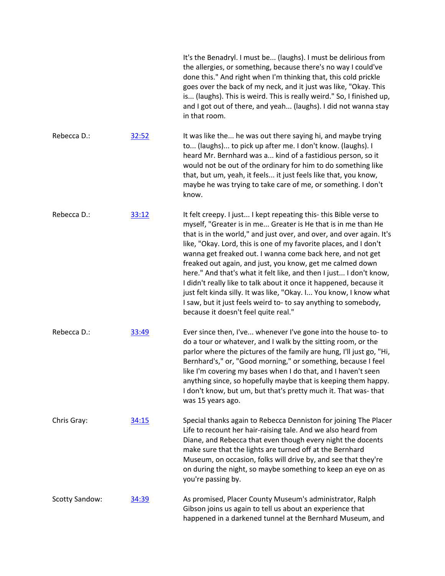|                |       | It's the Benadryl. I must be (laughs). I must be delirious from<br>the allergies, or something, because there's no way I could've<br>done this." And right when I'm thinking that, this cold prickle<br>goes over the back of my neck, and it just was like, "Okay. This<br>is (laughs). This is weird. This is really weird." So, I finished up,<br>and I got out of there, and yeah (laughs). I did not wanna stay<br>in that room.                                                                                                                                                                                                                                                                                                   |
|----------------|-------|-----------------------------------------------------------------------------------------------------------------------------------------------------------------------------------------------------------------------------------------------------------------------------------------------------------------------------------------------------------------------------------------------------------------------------------------------------------------------------------------------------------------------------------------------------------------------------------------------------------------------------------------------------------------------------------------------------------------------------------------|
| Rebecca D.:    | 32:52 | It was like the he was out there saying hi, and maybe trying<br>to (laughs) to pick up after me. I don't know. (laughs). I<br>heard Mr. Bernhard was a kind of a fastidious person, so it<br>would not be out of the ordinary for him to do something like<br>that, but um, yeah, it feels it just feels like that, you know,<br>maybe he was trying to take care of me, or something. I don't<br>know.                                                                                                                                                                                                                                                                                                                                 |
| Rebecca D.:    | 33:12 | It felt creepy. I just I kept repeating this- this Bible verse to<br>myself, "Greater is in me Greater is He that is in me than He<br>that is in the world," and just over, and over, and over again. It's<br>like, "Okay. Lord, this is one of my favorite places, and I don't<br>wanna get freaked out. I wanna come back here, and not get<br>freaked out again, and just, you know, get me calmed down<br>here." And that's what it felt like, and then I just I don't know,<br>I didn't really like to talk about it once it happened, because it<br>just felt kinda silly. It was like, "Okay. I You know, I know what<br>I saw, but it just feels weird to- to say anything to somebody,<br>because it doesn't feel quite real." |
| Rebecca D.:    | 33:49 | Ever since then, I've whenever I've gone into the house to-to<br>do a tour or whatever, and I walk by the sitting room, or the<br>parlor where the pictures of the family are hung, I'll just go, "Hi,<br>Bernhard's," or, "Good morning," or something, because I feel<br>like I'm covering my bases when I do that, and I haven't seen<br>anything since, so hopefully maybe that is keeping them happy.<br>I don't know, but um, but that's pretty much it. That was-that<br>was 15 years ago.                                                                                                                                                                                                                                       |
| Chris Gray:    | 34:15 | Special thanks again to Rebecca Denniston for joining The Placer<br>Life to recount her hair-raising tale. And we also heard from<br>Diane, and Rebecca that even though every night the docents<br>make sure that the lights are turned off at the Bernhard<br>Museum, on occasion, folks will drive by, and see that they're<br>on during the night, so maybe something to keep an eye on as<br>you're passing by.                                                                                                                                                                                                                                                                                                                    |
| Scotty Sandow: | 34:39 | As promised, Placer County Museum's administrator, Ralph<br>Gibson joins us again to tell us about an experience that<br>happened in a darkened tunnel at the Bernhard Museum, and                                                                                                                                                                                                                                                                                                                                                                                                                                                                                                                                                      |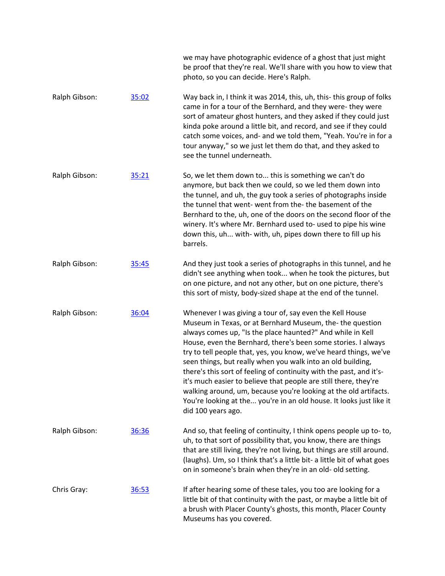we may have photographic evidence of a ghost that just might be proof that they're real. We'll share with you how to view that photo, so you can decide. Here's Ralph.

Ralph Gibson: [35:02](https://www.rev.com/transcript-editor/Edit?token=NDe7RvSGwohXVP1HxPaQ-k5a5kJdxTgkUu4V_1E7flJ4MPtQOq9kiWZ5AHEOusWENVfP0AGdzXX9vcwDN23op2qQ5QI&loadFrom=DocumentDeeplink&ts=2102.71) Way back in, I think it was 2014, this, uh, this- this group of folks came in for a tour of the Bernhard, and they were- they were sort of amateur ghost hunters, and they asked if they could just kinda poke around a little bit, and record, and see if they could catch some voices, and- and we told them, "Yeah. You're in for a tour anyway," so we just let them do that, and they asked to see the tunnel underneath.

Ralph Gibson: [35:21](https://www.rev.com/transcript-editor/Edit?token=1bkObinujijdumLRfs6h9bUsCANB87mSCGSaf7NahPmdUExcALPfSCFsXqQ9I2Bi3u0gV6a2u0nFlxhQ8hNSCygWUWY&loadFrom=DocumentDeeplink&ts=2121.33) So, we let them down to... this is something we can't do anymore, but back then we could, so we led them down into the tunnel, and uh, the guy took a series of photographs inside the tunnel that went- went from the- the basement of the Bernhard to the, uh, one of the doors on the second floor of the winery. It's where Mr. Bernhard used to- used to pipe his wine down this, uh... with- with, uh, pipes down there to fill up his barrels.

- Ralph Gibson: [35:45](https://www.rev.com/transcript-editor/Edit?token=Z8lvEZnJZPwC__ws03Bbt36vjBS28vEXeUZZ65QhBEhILG7sgoqg6HSOJVcYLf4_hmgZHcSAyKmnnARo2Ha3jo0x-B0&loadFrom=DocumentDeeplink&ts=2145.61) And they just took a series of photographs in this tunnel, and he didn't see anything when took... when he took the pictures, but on one picture, and not any other, but on one picture, there's this sort of misty, body-sized shape at the end of the tunnel.
- Ralph Gibson: [36:04](https://www.rev.com/transcript-editor/Edit?token=YwyrlK-f9UezpQF02gv7HkFdjFskNgb6klKH2Jj_lRmZ_Ace5nolV9CgXedHC0KzF1Q8J-ahRgH40nUBdt3dPwFrBRo&loadFrom=DocumentDeeplink&ts=2164.8) Whenever I was giving a tour of, say even the Kell House Museum in Texas, or at Bernhard Museum, the- the question always comes up, "Is the place haunted?" And while in Kell House, even the Bernhard, there's been some stories. I always try to tell people that, yes, you know, we've heard things, we've seen things, but really when you walk into an old building, there's this sort of feeling of continuity with the past, and it'sit's much easier to believe that people are still there, they're walking around, um, because you're looking at the old artifacts. You're looking at the... you're in an old house. It looks just like it did 100 years ago.
- Ralph Gibson: [36:36](https://www.rev.com/transcript-editor/Edit?token=o7RR8rOkrpPG420B7EJ5EHYkOWpUvqrDli2HdtTnRLOvmzXTxXImDWb7A1Bnq8gd7ZV2DWyXLK5lHXSZPj4BfRPdJPQ&loadFrom=DocumentDeeplink&ts=2196.81) And so, that feeling of continuity, I think opens people up to- to, uh, to that sort of possibility that, you know, there are things that are still living, they're not living, but things are still around. (laughs). Um, so I think that's a little bit- a little bit of what goes on in someone's brain when they're in an old- old setting. Chris Gray: [36:53](https://www.rev.com/transcript-editor/Edit?token=hIDiZynKPIZnAFBbJFblrbpk50jtyK5xYXobJ0aM9NqJ7GQf9wr2JET8zXuihxF90wUVSzw0dp79g9WH3xnsfM89McY&loadFrom=DocumentDeeplink&ts=2213.69) If after hearing some of these tales, you too are looking for a
	- little bit of that continuity with the past, or maybe a little bit of a brush with Placer County's ghosts, this month, Placer County Museums has you covered.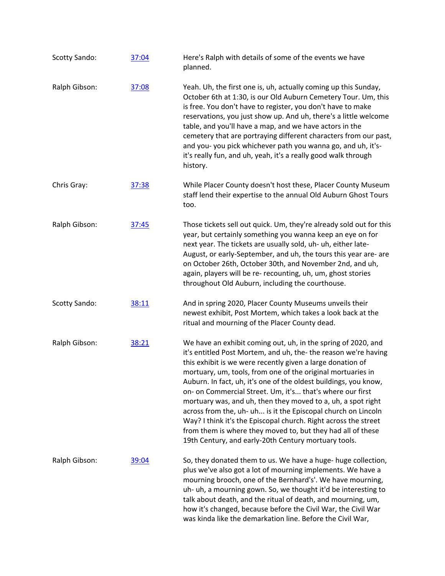| <b>Scotty Sando:</b> | 37:04 | Here's Ralph with details of some of the events we have<br>planned.                                                                                                                                                                                                                                                                                                                                                                                                                                                                                                                                                                                                                                                       |
|----------------------|-------|---------------------------------------------------------------------------------------------------------------------------------------------------------------------------------------------------------------------------------------------------------------------------------------------------------------------------------------------------------------------------------------------------------------------------------------------------------------------------------------------------------------------------------------------------------------------------------------------------------------------------------------------------------------------------------------------------------------------------|
| Ralph Gibson:        | 37:08 | Yeah. Uh, the first one is, uh, actually coming up this Sunday,<br>October 6th at 1:30, is our Old Auburn Cemetery Tour. Um, this<br>is free. You don't have to register, you don't have to make<br>reservations, you just show up. And uh, there's a little welcome<br>table, and you'll have a map, and we have actors in the<br>cemetery that are portraying different characters from our past,<br>and you- you pick whichever path you wanna go, and uh, it's-<br>it's really fun, and uh, yeah, it's a really good walk through<br>history.                                                                                                                                                                         |
| Chris Gray:          | 37:38 | While Placer County doesn't host these, Placer County Museum<br>staff lend their expertise to the annual Old Auburn Ghost Tours<br>too.                                                                                                                                                                                                                                                                                                                                                                                                                                                                                                                                                                                   |
| Ralph Gibson:        | 37:45 | Those tickets sell out quick. Um, they're already sold out for this<br>year, but certainly something you wanna keep an eye on for<br>next year. The tickets are usually sold, uh- uh, either late-<br>August, or early-September, and uh, the tours this year are- are<br>on October 26th, October 30th, and November 2nd, and uh,<br>again, players will be re- recounting, uh, um, ghost stories<br>throughout Old Auburn, including the courthouse.                                                                                                                                                                                                                                                                    |
| <b>Scotty Sando:</b> | 38:11 | And in spring 2020, Placer County Museums unveils their<br>newest exhibit, Post Mortem, which takes a look back at the<br>ritual and mourning of the Placer County dead.                                                                                                                                                                                                                                                                                                                                                                                                                                                                                                                                                  |
| Ralph Gibson:        | 38:21 | We have an exhibit coming out, uh, in the spring of 2020, and<br>it's entitled Post Mortem, and uh, the- the reason we're having<br>this exhibit is we were recently given a large donation of<br>mortuary, um, tools, from one of the original mortuaries in<br>Auburn. In fact, uh, it's one of the oldest buildings, you know,<br>on- on Commercial Street. Um, it's that's where our first<br>mortuary was, and uh, then they moved to a, uh, a spot right<br>across from the, uh- uh is it the Episcopal church on Lincoln<br>Way? I think it's the Episcopal church. Right across the street<br>from them is where they moved to, but they had all of these<br>19th Century, and early-20th Century mortuary tools. |
| Ralph Gibson:        | 39:04 | So, they donated them to us. We have a huge- huge collection,<br>plus we've also got a lot of mourning implements. We have a<br>mourning brooch, one of the Bernhard's'. We have mourning,<br>uh- uh, a mourning gown. So, we thought it'd be interesting to<br>talk about death, and the ritual of death, and mourning, um,<br>how it's changed, because before the Civil War, the Civil War<br>was kinda like the demarkation line. Before the Civil War,                                                                                                                                                                                                                                                               |